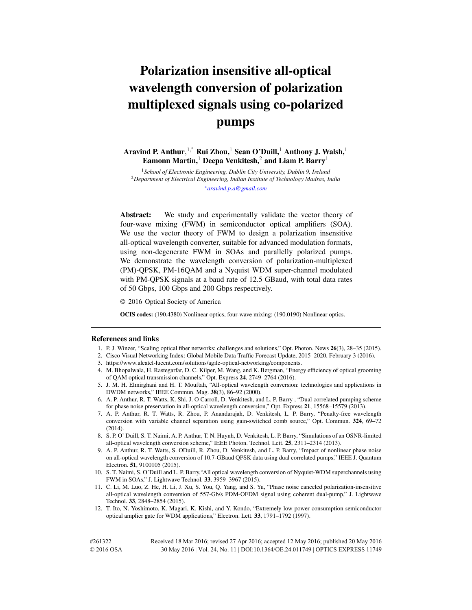# **Polarization insensitive all-optical wavelength conversion of polarization multiplexed signals using co-polarized pumps**

**Aravind P. Anthur**, 1, ∗ **Rui Zhou,**<sup>1</sup> **Sean O'Duill,**<sup>1</sup> **Anthony J. Walsh,**<sup>1</sup> **Eamonn Martin,**<sup>1</sup> **Deepa Venkitesh,**<sup>2</sup> **and Liam P. Barry**<sup>1</sup>

<sup>1</sup>*School of Electronic Engineering, Dublin City University, Dublin 9, Ireland* <sup>2</sup>*Department of Electrical Engineering, Indian Institute of Technology Madras, India* ∗*aravind.p.a@gmail.com*

**Abstract:** We study and experimentally validate the vector theory of four-wave mixing (FWM) in semiconductor optical amplifiers (SOA). We use the vector theory of FWM to design a polarization insensitive all-optical wavelength converter, suitable for advanced modulation formats, using non-degenerate FWM in SOAs and parallelly polarized pumps. We demonstrate the wavelength conversion of polarization-multiplexed (PM)-QPSK, PM-16QAM and a Nyquist WDM super-channel modulated with PM-QPSK signals at a baud rate of 12.5 GBaud, with total data rates of 50 Gbps, 100 Gbps and 200 Gbps respectively.

© 2016 Optical Society of America

**OCIS codes:** (190.4380) Nonlinear optics, four-wave mixing; (190.0190) Nonlinear optics.

#### **References and links**

- 1. P. J. Winzer, "Scaling optical fiber networks: challenges and solutions," Opt. Photon. News **26**(3), 28–35 (2015).
- 2. Cisco Visual Networking Index: Global Mobile Data Traffic Forecast Update, 2015–2020, February 3 (2016).
- 3. https://www.alcatel-lucent.com/solutions/agile-optical-networking/components.
- 4. M. Bhopalwala, H. Rastegarfar, D. C. Kilper, M. Wang, and K. Bergman, "Energy efficiency of optical grooming of QAM optical transmission channels," Opt. Express **24**, 2749–2764 (2016).
- 5. J. M. H. Elmirghani and H. T. Mouftah, "All-optical wavelength conversion: technologies and applications in DWDM networks," IEEE Commun. Mag. **38**(3), 86–92 (2000).
- 6. A. P. Anthur, R. T. Watts, K. Shi, J. O Carroll, D. Venkitesh, and L. P. Barry , "Dual correlated pumping scheme for phase noise preservation in all-optical wavelength conversion," Opt. Express **21**, 15568–15579 (2013).
- 7. A. P. Anthur, R. T. Watts, R. Zhou, P. Anandarajah, D. Venkitesh, L. P. Barry, "Penalty-free wavelength conversion with variable channel separation using gain-switched comb source," Opt. Commun. **324**, 69–72 (2014).
- 8. S. P. O' Duill, S. T. Naimi, A. P. Anthur, T. N. Huynh, D. Venkitesh, L. P. Barry, "Simulations of an OSNR-limited all-optical wavelength conversion scheme," IEEE Photon. Technol. Lett. **25**, 2311–2314 (2013).
- 9. A. P. Anthur, R. T. Watts, S. ODuill, R. Zhou, D. Venkitesh, and L. P. Barry, "Impact of nonlinear phase noise on all-optical wavelength conversion of 10.7-GBaud QPSK data using dual correlated pumps," IEEE J. Quantum Electron. **51**, 9100105 (2015).
- 10. S. T. Naimi, S. O'Duill and L. P. Barry,"All optical wavelength conversion of Nyquist-WDM superchannels using FWM in SOAs," J. Lightwave Technol. **33**, 3959–3967 (2015).
- 11. C. Li, M. Luo, Z. He, H. Li, J. Xu, S. You, Q. Yang, and S. Yu, "Phase noise canceled polarization-insensitive all-optical wavelength conversion of 557-Gb/s PDM-OFDM signal using coherent dual-pump," J. Lightwave Technol. **33**, 2848–2854 (2015).
- 12. T. Ito, N. Yoshimoto, K. Magari, K. Kishi, and Y. Kondo, "Extremely low power consumption semiconductor optical amplier gate for WDM applications," Electron. Lett. **33**, 1791–1792 (1997).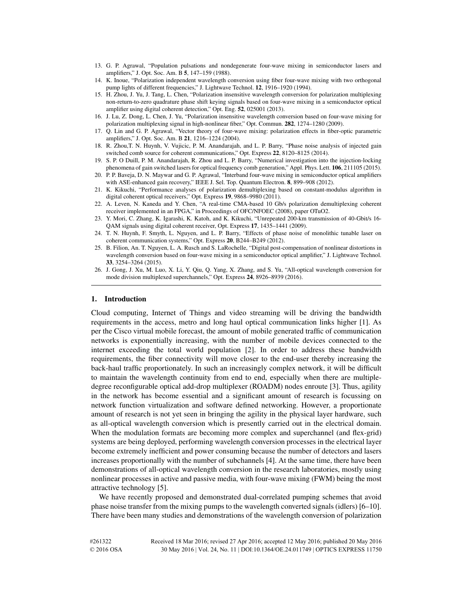- 13. G. P. Agrawal, "Population pulsations and nondegenerate four-wave mixing in semiconductor lasers and amplifiers," J. Opt. Soc. Am. B **5**, 147–159 (1988).
- 14. K. Inoue, "Polarization independent wavelength conversion using fiber four-wave mixing with two orthogonal pump lights of different frequencies," J. Lightwave Technol. **12**, 1916–1920 (1994).
- 15. H. Zhou, J. Yu, J. Tang, L. Chen, "Polarization insensitive wavelength conversion for polarization multiplexing non-return-to-zero quadrature phase shift keying signals based on four-wave mixing in a semiconductor optical amplifier using digital coherent detection," Opt. Eng. **52**, 025001 (2013).
- 16. J. Lu, Z. Dong, L. Chen, J. Yu, "Polarization insensitive wavelength conversion based on four-wave mixing for polarization multiplexing signal in high-nonlinear fiber," Opt. Commun. **282**, 1274–1280 (2009).
- 17. Q. Lin and G. P. Agrawal, "Vector theory of four-wave mixing: polarization effects in fiber-optic parametric amplifiers," J. Opt. Soc. Am. B **21**, 1216–1224 (2004).
- 18. R. Zhou,T. N. Huynh, V. Vujicic, P. M. Anandarajah, and L. P. Barry, "Phase noise analysis of injected gain switched comb source for coherent communications," Opt. Express **22**, 8120–8125 (2014).
- 19. S. P. O Duill, P. M. Anandarajah, R. Zhou and L. P. Barry, "Numerical investigation into the injection-locking phenomena of gain switched lasers for optical frequency comb generation," Appl. Phys. Lett. **106**, 211105 (2015).
- 20. P. P. Baveja, D. N. Maywar and G. P. Agrawal, "Interband four-wave mixing in semiconductor optical amplifiers with ASE-enhanced gain recovery," IEEE J. Sel. Top. Quantum Electron. **8**, 899–908 (2012).
- 21. K. Kikuchi, "Performance analyses of polarization demultiplexing based on constant-modulus algorithm in digital coherent optical receivers," Opt. Express **19**, 9868–9980 (2011).
- 22. A. Leven, N. Kaneda and Y. Chen, "A real-time CMA-based 10 Gb/s polarization demultiplexing coherent receiver implemented in an FPGA," in Proceedings of OFC/NFOEC (2008), paper OTuO2.
- 23. Y. Mori, C. Zhang, K. Igarashi, K. Katoh, and K. Kikuchi, "Unrepeated 200-km transmission of 40-Gbit/s 16- QAM signals using digital coherent receiver, Opt. Express **17**, 1435–1441 (2009).
- 24. T. N. Huynh, F. Smyth, L. Nguyen, and L. P. Barry, "Effects of phase noise of monolithic tunable laser on coherent communication systems," Opt. Express **20**, B244–B249 (2012).
- 25. B. Filion, An. T. Nguyen, L. A. Rusch and S. LaRochelle, "Digital post-compensation of nonlinear distortions in wavelength conversion based on four-wave mixing in a semiconductor optical amplifier," J. Lightwave Technol. **33**, 3254–3264 (2015).
- 26. J. Gong, J. Xu, M. Luo, X. Li, Y. Qiu, Q. Yang, X. Zhang, and S. Yu, "All-optical wavelength conversion for mode division multiplexed superchannels," Opt. Express **24**, 8926–8939 (2016).

## **1. Introduction**

Cloud computing, Internet of Things and video streaming will be driving the bandwidth requirements in the access, metro and long haul optical communication links higher [1]. As per the Cisco virtual mobile forecast, the amount of mobile generated traffic of communication networks is exponentially increasing, with the number of mobile devices connected to the internet exceeding the total world population [2]. In order to address these bandwidth requirements, the fiber connectivity will move closer to the end-user thereby increasing the back-haul traffic proportionately. In such an increasingly complex network, it will be difficult to maintain the wavelength continuity from end to end, especially when there are multipledegree reconfigurable optical add-drop multiplexer (ROADM) nodes enroute [3]. Thus, agility in the network has become essential and a significant amount of research is focussing on network function virtualization and software defined networking. However, a proportionate amount of research is not yet seen in bringing the agility in the physical layer hardware, such as all-optical wavelength conversion which is presently carried out in the electrical domain. When the modulation formats are becoming more complex and superchannel (and flex-grid) systems are being deployed, performing wavelength conversion processes in the electrical layer become extremely inefficient and power consuming because the number of detectors and lasers increases proportionally with the number of subchannels [4]. At the same time, there have been demonstrations of all-optical wavelength conversion in the research laboratories, mostly using nonlinear processes in active and passive media, with four-wave mixing (FWM) being the most attractive technology [5].

We have recently proposed and demonstrated dual-correlated pumping schemes that avoid phase noise transfer from the mixing pumps to the wavelength converted signals (idlers) [6–10]. There have been many studies and demonstrations of the wavelength conversion of polarization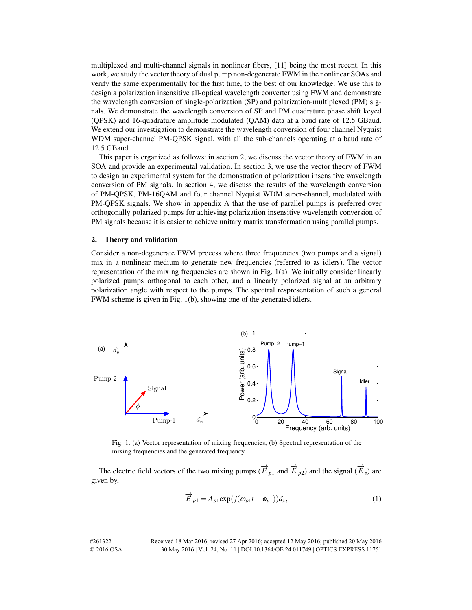multiplexed and multi-channel signals in nonlinear fibers, [11] being the most recent. In this work, we study the vector theory of dual pump non-degenerate FWM in the nonlinear SOAs and verify the same experimentally for the first time, to the best of our knowledge. We use this to design a polarization insensitive all-optical wavelength converter using FWM and demonstrate the wavelength conversion of single-polarization (SP) and polarization-multiplexed (PM) signals. We demonstrate the wavelength conversion of SP and PM quadrature phase shift keyed (QPSK) and 16-quadrature amplitude modulated (QAM) data at a baud rate of 12.5 GBaud. We extend our investigation to demonstrate the wavelength conversion of four channel Nyquist WDM super-channel PM-QPSK signal, with all the sub-channels operating at a baud rate of 12.5 GBaud.

This paper is organized as follows: in section 2, we discuss the vector theory of FWM in an SOA and provide an experimental validation. In section 3, we use the vector theory of FWM to design an experimental system for the demonstration of polarization insensitive wavelength conversion of PM signals. In section 4, we discuss the results of the wavelength conversion of PM-QPSK, PM-16QAM and four channel Nyquist WDM super-channel, modulated with PM-QPSK signals. We show in appendix A that the use of parallel pumps is preferred over orthogonally polarized pumps for achieving polarization insensitive wavelength conversion of PM signals because it is easier to achieve unitary matrix transformation using parallel pumps.

## **2. Theory and validation**

Consider a non-degenerate FWM process where three frequencies (two pumps and a signal) mix in a nonlinear medium to generate new frequencies (referred to as idlers). The vector representation of the mixing frequencies are shown in Fig. 1(a). We initially consider linearly polarized pumps orthogonal to each other, and a linearly polarized signal at an arbitrary polarization angle with respect to the pumps. The spectral respresentation of such a general FWM scheme is given in Fig. 1(b), showing one of the generated idlers.



Fig. 1. (a) Vector representation of mixing frequencies, (b) Spectral representation of the mixing frequencies and the generated frequency.

The electric field vectors of the two mixing pumps ( $\overrightarrow{E}_{p1}$  and  $\overrightarrow{E}_{p2}$ ) and the signal ( $\overrightarrow{E}_{s}$ ) are given by,

$$
\overrightarrow{E}_{p1} = A_{p1} \exp(j(\omega_{p1}t - \phi_{p1}))\hat{a}_x, \qquad (1)
$$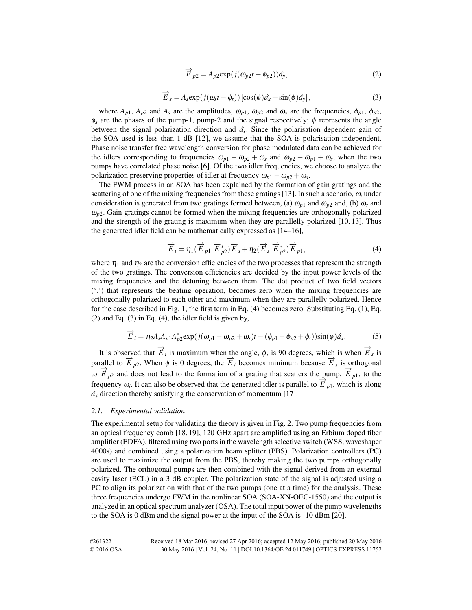$$
\overrightarrow{E}_{p2} = A_{p2} \exp(j(\omega_{p2}t - \phi_{p2}))\hat{a}_y, \tag{2}
$$

$$
\overrightarrow{E}_s = A_s \exp(j(\omega_s t - \phi_s)) [\cos(\phi) \hat{a}_x + \sin(\phi) \hat{a}_y], \tag{3}
$$

where  $A_{p1}$ ,  $A_{p2}$  and  $A_s$  are the amplitudes,  $\omega_{p1}$ ,  $\omega_{p2}$  and  $\omega_s$  are the frequencies,  $\phi_{p1}$ ,  $\phi_{p2}$ ,  $\phi_s$  are the phases of the pump-1, pump-2 and the signal respectively;  $\phi$  represents the angle between the signal polarization direction and  $\hat{a}_x$ . Since the polarisation dependent gain of the SOA used is less than 1 dB [12], we assume that the SOA is polarisation independent. Phase noise transfer free wavelength conversion for phase modulated data can be achieved for the idlers corresponding to frequencies  $\omega_{p1} - \omega_{p2} + \omega_s$  and  $\omega_{p2} - \omega_{p1} + \omega_s$ , when the two pumps have correlated phase noise [6]. Of the two idler frequencies, we choose to analyze the polarization preserving properties of idler at frequency  $\omega_{p1} - \omega_{p2} + \omega_s$ .

The FWM process in an SOA has been explained by the formation of gain gratings and the scattering of one of the mixing frequencies from these gratings [13]. In such a scenario,  $\omega_i$  under consideration is generated from two gratings formed between, (a)  $\omega_{p1}$  and  $\omega_{p2}$  and, (b)  $\omega_s$  and  $\omega_{p2}$ . Gain gratings cannot be formed when the mixing frequencies are orthogonally polarized and the strength of the grating is maximum when they are parallelly polarized [10, 13]. Thus the generated idler field can be mathematically expressed as [14–16],

$$
\overrightarrow{E}_i = \eta_1(\overrightarrow{E}_{p1} \cdot \overrightarrow{E}_{p2}^*) \overrightarrow{E}_s + \eta_2(\overrightarrow{E}_s \cdot \overrightarrow{E}_{p2}^*) \overrightarrow{E}_{p1},
$$
\n(4)

where  $\eta_1$  and  $\eta_2$  are the conversion efficiencies of the two processes that represent the strength of the two gratings. The conversion efficiencies are decided by the input power levels of the mixing frequencies and the detuning between them. The dot product of two field vectors ('.') that represents the beating operation, becomes zero when the mixing frequencies are orthogonally polarized to each other and maximum when they are parallelly polarized. Hence for the case described in Fig. 1, the first term in Eq. (4) becomes zero. Substituting Eq. (1), Eq.  $(2)$  and Eq.  $(3)$  in Eq.  $(4)$ , the idler field is given by,

$$
\overrightarrow{E}_i = \eta_2 A_s A_{p1} A_{p2}^* \exp(j(\omega_{p1} - \omega_{p2} + \omega_s)t - (\phi_{p1} - \phi_{p2} + \phi_s))\sin(\phi)\hat{a}_x.
$$
 (5)

It is observed that  $\overrightarrow{E}_i$  is maximum when the angle,  $\phi$ , is 90 degrees, which is when  $\overrightarrow{E}_s$  is parallel to  $\overrightarrow{E}_{p2}$ . When  $\phi$  is 0 degrees, the  $\overrightarrow{E}_i$  becomes minimum because  $\overrightarrow{E}_s$  is orthogonal to  $\overrightarrow{E}_{p2}$  and does not lead to the formation of a grating that scatters the pump,  $\overrightarrow{E}_{p1}$ , to the frequency  $\omega_i$ . It can also be observed that the generated idler is parallel to  $\overrightarrow{E}_{p1}$ , which is along  $\hat{a}_x$  direction thereby satisfying the conservation of momentum [17].

## *2.1. Experimental validation*

The experimental setup for validating the theory is given in Fig. 2. Two pump frequencies from an optical frequency comb [18, 19], 120 GHz apart are amplified using an Erbium doped fiber amplifier (EDFA), filtered using two ports in the wavelength selective switch (WSS, waveshaper 4000s) and combined using a polarization beam splitter (PBS). Polarization controllers (PC) are used to maximize the output from the PBS, thereby making the two pumps orthogonally polarized. The orthogonal pumps are then combined with the signal derived from an external cavity laser (ECL) in a 3 dB coupler. The polarization state of the signal is adjusted using a PC to align its polarization with that of the two pumps (one at a time) for the analysis. These three frequencies undergo FWM in the nonlinear SOA (SOA-XN-OEC-1550) and the output is analyzed in an optical spectrum analyzer (OSA). The total input power of the pump wavelengths to the SOA is 0 dBm and the signal power at the input of the SOA is -10 dBm [20].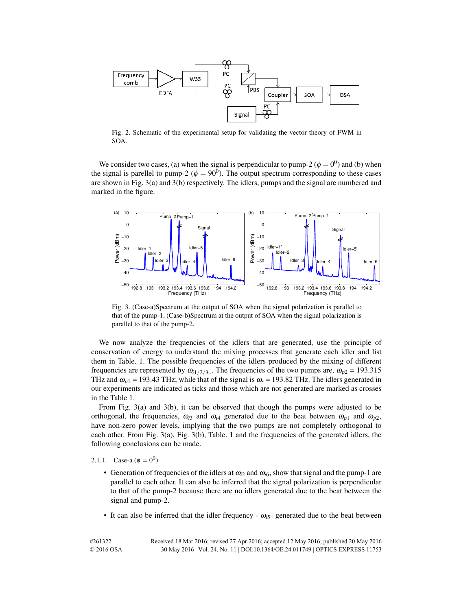

Fig. 2. Schematic of the experimental setup for validating the vector theory of FWM in SOA.

We consider two cases, (a) when the signal is perpendicular to pump-2 ( $\phi = 0^0$ ) and (b) when the signal is parellel to pump-2 ( $\phi = 90^0$ ). The output spectrum corresponding to these cases are shown in Fig. 3(a) and 3(b) respectively. The idlers, pumps and the signal are numbered and marked in the figure.



Fig. 3. (Case-a)Spectrum at the output of SOA when the signal polarization is parallel to that of the pump-1, (Case-b)Spectrum at the output of SOA when the signal polarization is parallel to that of the pump-2.

We now analyze the frequencies of the idlers that are generated, use the principle of conservation of energy to understand the mixing processes that generate each idler and list them in Table. 1. The possible frequencies of the idlers produced by the mixing of different frequencies are represented by  $\omega_{i1/2/3}$ ... The frequencies of the two pumps are,  $\omega_{p2} = 193.315$ THz and  $\omega_{p1}$  = 193.43 THz; while that of the signal is  $\omega_s$  = 193.82 THz. The idlers generated in our experiments are indicated as ticks and those which are not generated are marked as crosses in the Table 1.

From Fig. 3(a) and 3(b), it can be observed that though the pumps were adjusted to be orthogonal, the frequencies,  $\omega_{i3}$  and  $\omega_{i4}$  generated due to the beat between  $\omega_{p1}$  and  $\omega_{p2}$ , have non-zero power levels, implying that the two pumps are not completely orthogonal to each other. From Fig. 3(a), Fig. 3(b), Table. 1 and the frequencies of the generated idlers, the following conclusions can be made.

- 2.1.1. Case-a  $(\phi = 0^0)$ 
	- Generation of frequencies of the idlers at  $\omega_{i2}$  and  $\omega_{i6}$ , show that signal and the pump-1 are parallel to each other. It can also be inferred that the signal polarization is perpendicular to that of the pump-2 because there are no idlers generated due to the beat between the signal and pump-2.
	- It can also be inferred that the idler frequency  $-\omega_{i5}$  generated due to the beat between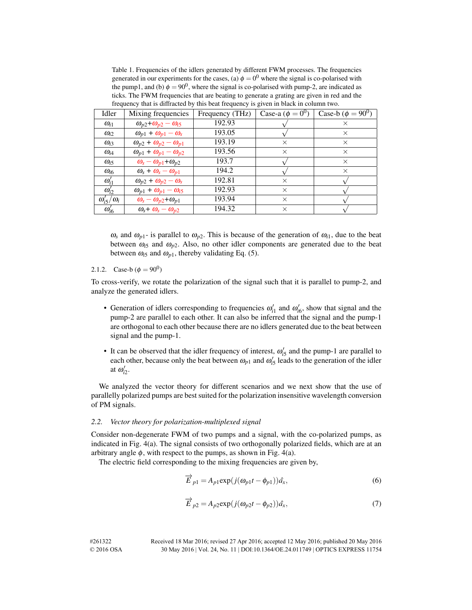Table 1. Frequencies of the idlers generated by different FWM processes. The frequencies generated in our experiments for the cases, (a)  $\phi = 0^0$  where the signal is co-polarised with the pump1, and (b)  $\phi = 90^0$ , where the signal is co-polarised with pump-2, are indicated as ticks. The FWM frequencies that are beating to generate a grating are given in red and the frequency that is diffracted by this beat frequency is given in black in column two.

| Idler                           | Mixing frequencies                        | Frequency (THz) | Case-a ( $\phi = 0^0$ ) | Case-b ( $\phi = 90^0$ ) |
|---------------------------------|-------------------------------------------|-----------------|-------------------------|--------------------------|
| $\omega_{i1}$                   | $\omega_{p2}+\omega_{p2}-\omega_{i5}$     | 192.93          |                         | $\times$                 |
| $\omega_{i2}$                   | $\omega_{p1} + \omega_{p1} - \omega_s$    | 193.05          |                         | $\times$                 |
| $\omega_{i3}$                   | $\omega_{p2} + \omega_{p2} - \omega_{p1}$ | 193.19          | X                       | $\times$                 |
| $\omega_{i4}$                   | $\omega_{p1} + \omega_{p1} - \omega_{p2}$ | 193.56          | $\times$                | $\times$                 |
| $\omega_{i5}$                   | $\omega_s - \omega_{p1} + \omega_{p2}$    | 193.7           |                         | $\times$                 |
| $\omega_{i6}$                   | $\omega_s + \omega_s - \omega_{p1}$       | 194.2           |                         | $\times$                 |
| $\omega'_{i1}$                  | $\omega_{p2} + \omega_{p2} - \omega_s$    | 192.81          | $\times$                |                          |
| $\omega_{i2}$                   | $\omega_{p1} + \omega_{p1} - \omega_{i5}$ | 192.93          | $\times$                |                          |
| $\omega_{i5}^{\prime}/\omega_i$ | $\omega_s - \omega_{p2} + \omega_{p1}$    | 193.94          | X                       |                          |
| $\omega'_{i6}$                  | $\omega_s + \omega_s - \omega_{p2}$       | 194.32          | $\times$                |                          |

 $\omega_s$  and  $\omega_{p1}$ - is parallel to  $\omega_{p2}$ . This is because of the generation of  $\omega_{i1}$ , due to the beat between  $\omega_{i5}$  and  $\omega_{p2}$ . Also, no other idler components are generated due to the beat between  $\omega_{i5}$  and  $\omega_{p1}$ , thereby validating Eq. (5).

2.1.2. Case-b ( $\phi = 90^0$ )

To cross-verify, we rotate the polarization of the signal such that it is parallel to pump-2, and analyze the generated idlers.

- Generation of idlers corresponding to frequencies  $\omega'_{i1}$  and  $\omega'_{i6}$ , show that signal and the pump-2 are parallel to each other. It can also be inferred that the signal and the pump-1 are orthogonal to each other because there are no idlers generated due to the beat between signal and the pump-1.
- It can be observed that the idler frequency of interest,  $\omega'_{i5}$  and the pump-1 are parallel to each other, because only the beat between  $\omega_{p1}$  and  $\omega'_{i5}$  leads to the generation of the idler at  $\omega_{i2}'$ .

We analyzed the vector theory for different scenarios and we next show that the use of parallelly polarized pumps are best suited for the polarization insensitive wavelength conversion of PM signals.

### *2.2. Vector theory for polarization-multiplexed signal*

Consider non-degenerate FWM of two pumps and a signal, with the co-polarized pumps, as indicated in Fig. 4(a). The signal consists of two orthogonally polarized fields, which are at an arbitrary angle  $\phi$ , with respect to the pumps, as shown in Fig. 4(a).

The electric field corresponding to the mixing frequencies are given by,

$$
\overrightarrow{E}_{p1} = A_{p1} \exp(j(\omega_{p1}t - \phi_{p1}))\hat{a}_x, \tag{6}
$$

$$
\overrightarrow{E}_{p2} = A_{p2} \exp(j(\omega_{p2}t - \phi_{p2}))\hat{a}_x, \tag{7}
$$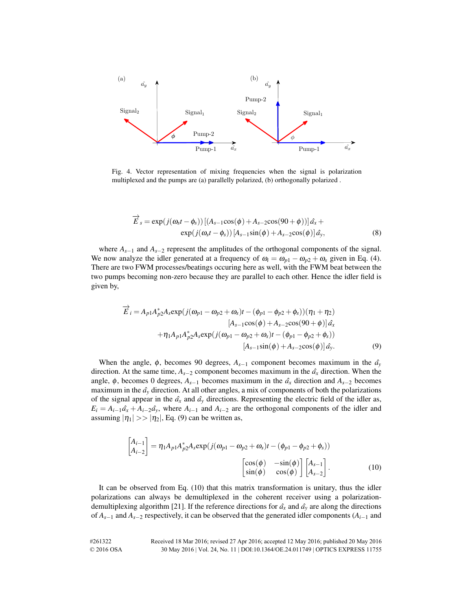

Fig. 4. Vector representation of mixing frequencies when the signal is polarization multiplexed and the pumps are (a) parallelly polarized, (b) orthogonally polarized .

$$
\overrightarrow{E}_s = \exp(j(\omega_s t - \phi_s))[(A_{s-1}\cos(\phi) + A_{s-2}\cos(90 + \phi))] \hat{a}_x + \exp(j(\omega_s t - \phi_s)) [A_{s-1}\sin(\phi) + A_{s-2}\cos(\phi)] \hat{a}_y,
$$
\n(8)

where *As*−<sup>1</sup> and *As*−<sup>2</sup> represent the amplitudes of the orthogonal components of the signal. We now analyze the idler generated at a frequency of  $\omega_i = \omega_{p1} - \omega_{p2} + \omega_s$  given in Eq. (4). There are two FWM processes/beatings occuring here as well, with the FWM beat between the two pumps becoming non-zero because they are parallel to each other. Hence the idler field is given by,

$$
\overrightarrow{E}_i = A_{p1}A_{p2}^*A_s \exp(j(\omega_{p1} - \omega_{p2} + \omega_s)t - (\phi_{p1} - \phi_{p2} + \phi_s))(\eta_1 + \eta_2) \n[A_{s-1}\cos(\phi) + A_{s-2}\cos(90 + \phi)]\hat{a}_x \n+ \eta_1 A_{p1}A_{p2}^*A_s \exp(j(\omega_{p1} - \omega_{p2} + \omega_s)t - (\phi_{p1} - \phi_{p2} + \phi_s)) \n[A_{s-1}\sin(\phi) + A_{s-2}\cos(\phi)]\hat{a}_y.
$$
\n(9)

When the angle,  $\phi$ , becomes 90 degrees,  $A_{s-1}$  component becomes maximum in the  $\hat{a}_y$ direction. At the same time,  $A_{s-2}$  component becomes maximum in the  $\hat{a}_x$  direction. When the angle,  $\phi$ , becomes 0 degrees,  $A_{s-1}$  becomes maximum in the  $\hat{a}_x$  direction and  $A_{s-2}$  becomes maximum in the  $\hat{a}_y$  direction. At all other angles, a mix of components of both the polarizations of the signal appear in the  $\hat{a}_x$  and  $\hat{a}_y$  directions. Representing the electric field of the idler as,  $E_i = A_{i-1}\hat{a}_x + A_{i-2}\hat{a}_y$ , where  $A_{i-1}$  and  $A_{i-2}$  are the orthogonal components of the idler and assuming  $|\eta_1| >> |\eta_2|$ , Eq. (9) can be written as,

$$
\begin{bmatrix} A_{i-1} \\ A_{i-2} \end{bmatrix} = \eta_1 A_{p1} A_{p2}^* A_s \exp(j(\omega_{p1} - \omega_{p2} + \omega_s)t - (\phi_{p1} - \phi_{p2} + \phi_s))
$$

$$
\begin{bmatrix} \cos(\phi) & -\sin(\phi) \\ \sin(\phi) & \cos(\phi) \end{bmatrix} \begin{bmatrix} A_{s-1} \\ A_{s-2} \end{bmatrix} .
$$
(10)

It can be observed from Eq. (10) that this matrix transformation is unitary, thus the idler polarizations can always be demultiplexed in the coherent receiver using a polarizationdemultiplexing algorithm [21]. If the reference directions for  $\hat{a}_x$  and  $\hat{a}_y$  are along the directions of *As*−<sup>1</sup> and *As*−<sup>2</sup> respectively, it can be observed that the generated idler components (*Ai*−<sup>1</sup> and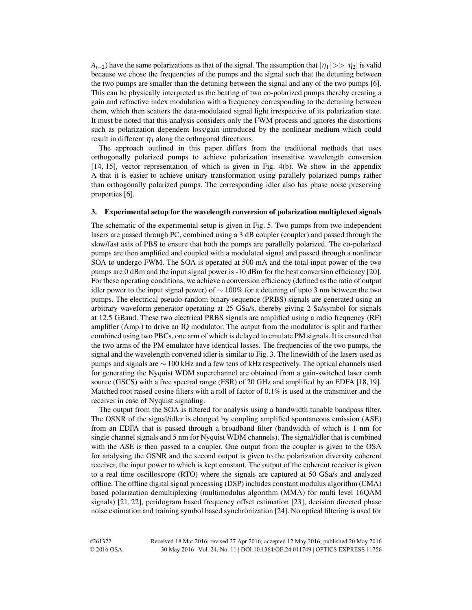$A_{i-2}$ ) have the same polarizations as that of the signal. The assumption that  $|\eta_1| >> |\eta_2|$  is valid because we chose the frequencies of the pumps and the signal such that the detuning between the two pumps are smaller than the detuning between the signal and any of the two pumps [6]. This can be physically interpreted as the beating of two co-polarized pumps thereby creating a gain and refractive index modulation with a frequency corresponding to the detuning between them, which then scatters the data-modulated signal light irrespective of its polarization state. It must be noted that this analysis considers only the FWM process and ignores the distortions such as polarization dependent loss/gain introduced by the nonlinear medium which could result in different  $\eta_1$  along the orthogonal directions.

The approach outlined in this paper differs from the traditional methods that uses orthogonally polarized pumps to achieve polarization insensitive wavelength conversion [14, 15], vector representation of which is given in Fig. 4(b). We show in the appendix A that it is easier to achieve unitary transformation using parallely polarized pumps rather than orthogonally polarized pumps. The corresponding idler also has phase noise preserving properties [6].

# **3. Experimental setup for the wavelength conversion of polarization multiplexed signals**

The schematic of the experimental setup is given in Fig. 5. Two pumps from two independent lasers are passed through PC, combined using a 3 dB coupler (coupler) and passed through the slow/fast axis of PBS to ensure that both the pumps are parallelly polarized. The co-polarized pumps are then amplified and coupled with a modulated signal and passed through a nonlinear SOA to undergo FWM. The SOA is operated at 500 mA and the total input power of the two pumps are 0 dBm and the input signal power is -10 dBm for the best conversion efficiency [20]. For these operating conditions, we achieve a conversion efficiency (defined as the ratio of output idler power to the input signal power) of  $\sim 100\%$  for a detuning of upto 3 nm between the two pumps. The electrical pseudo-random binary sequence (PRBS) signals are generated using an arbitrary waveform generator operating at 25 GSa/s, thereby giving 2 Sa/symbol for signals at 12.5 GBaud. These two electrical PRBS signals are amplified using a radio frequency (RF) amplifier (Amp.) to drive an IQ modulator. The output from the modulator is split and further combined using two PBCs, one arm of which is delayed to emulate PM signals. It is ensured that the two arms of the PM emulator have identical losses. The frequencies of the two pumps, the signal and the wavelength converted idler is similar to Fig. 3. The linewidth of the lasers used as pumps and signals are ∼ 100 kHz and a few tens of kHz respectively. The optical channels used for generating the Nyquist WDM superchannel are obtained from a gain-switched laser comb source (GSCS) with a free spectral range (FSR) of 20 GHz and amplified by an EDFA [18,19]. Matched root raised cosine filters with a roll of factor of  $0.1\%$  is used at the transmitter and the receiver in case of Nyquist signaling.

The output from the SOA is filtered for analysis using a bandwidth tunable bandpass filter. The OSNR of the signal/idler is changed by coupling amplified spontaneous emission (ASE) from an EDFA that is passed through a broadband filter (bandwidth of which is 1 nm for single channel signals and 5 nm for Nyquist WDM channels). The signal/idler that is combined with the ASE is then passed to a coupler. One output from the coupler is given to the OSA for analysing the OSNR and the second output is given to the polarization diversity coherent receiver, the input power to which is kept constant. The output of the coherent receiver is given to a real time oscilloscope (RTO) where the signals are captured at 50 GSa/s and analyzed offline. The offline digital signal processing (DSP) includes constant modulus algorithm (CMA) based polarization demultiplexing (multimodulus algorithm (MMA) for multi level 16QAM signals) [21, 22], peridogram based frequency offset estimation [23], decision directed phase noise estimation and training symbol based synchronization [24]. No optical filtering is used for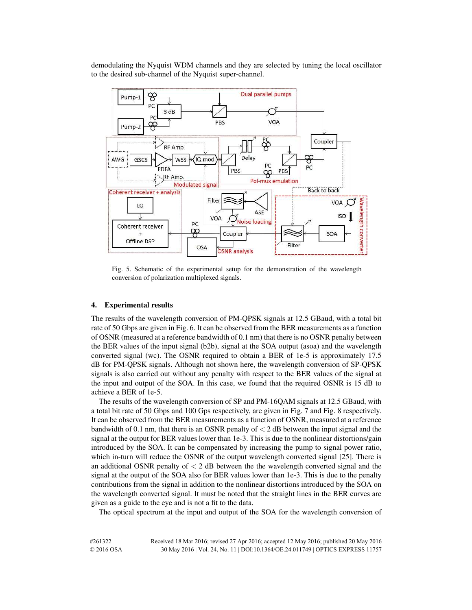demodulating the Nyquist WDM channels and they are selected by tuning the local oscillator to the desired sub-channel of the Nyquist super-channel.



Fig. 5. Schematic of the experimental setup for the demonstration of the wavelength conversion of polarization multiplexed signals.

## **4. Experimental results**

The results of the wavelength conversion of PM-QPSK signals at 12.5 GBaud, with a total bit rate of 50 Gbps are given in Fig. 6. It can be observed from the BER measurements as a function of OSNR (measured at a reference bandwidth of 0.1 nm) that there is no OSNR penalty between the BER values of the input signal (b2b), signal at the SOA output (asoa) and the wavelength converted signal (wc). The OSNR required to obtain a BER of 1e-5 is approximately 17.5 dB for PM-QPSK signals. Although not shown here, the wavelength conversion of SP-QPSK signals is also carried out without any penalty with respect to the BER values of the signal at the input and output of the SOA. In this case, we found that the required OSNR is 15 dB to achieve a BER of 1e-5.

The results of the wavelength conversion of SP and PM-16QAM signals at 12.5 GBaud, with a total bit rate of 50 Gbps and 100 Gps respectively, are given in Fig. 7 and Fig. 8 respectively. It can be observed from the BER measurements as a function of OSNR, measured at a reference bandwidth of 0.1 nm, that there is an OSNR penalty of  $\lt 2$  dB between the input signal and the signal at the output for BER values lower than 1e-3. This is due to the nonlinear distortions/gain introduced by the SOA. It can be compensated by increasing the pump to signal power ratio, which in-turn will reduce the OSNR of the output wavelength converted signal [25]. There is an additional OSNR penalty of  $<$  2 dB between the the wavelength converted signal and the signal at the output of the SOA also for BER values lower than 1e-3. This is due to the penalty contributions from the signal in addition to the nonlinear distortions introduced by the SOA on the wavelength converted signal. It must be noted that the straight lines in the BER curves are given as a guide to the eye and is not a fit to the data.

The optical spectrum at the input and output of the SOA for the wavelength conversion of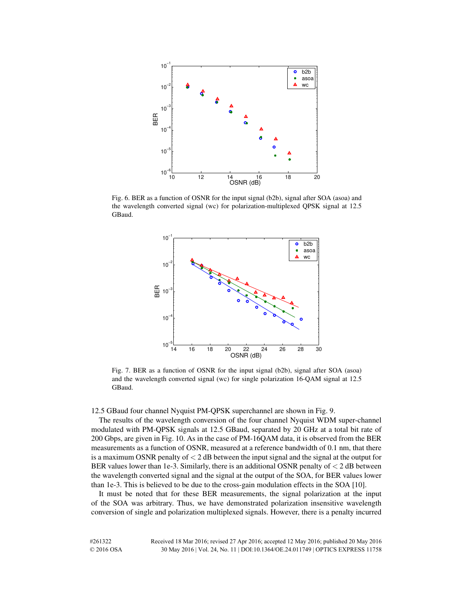

Fig. 6. BER as a function of OSNR for the input signal (b2b), signal after SOA (asoa) and the wavelength converted signal (wc) for polarization-multiplexed QPSK signal at 12.5 GBaud.



Fig. 7. BER as a function of OSNR for the input signal (b2b), signal after SOA (asoa) and the wavelength converted signal (wc) for single polarization 16-QAM signal at 12.5 GBaud.

12.5 GBaud four channel Nyquist PM-QPSK superchannel are shown in Fig. 9.

The results of the wavelength conversion of the four channel Nyquist WDM super-channel modulated with PM-QPSK signals at 12.5 GBaud, separated by 20 GHz at a total bit rate of 200 Gbps, are given in Fig. 10. As in the case of PM-16QAM data, it is observed from the BER measurements as a function of OSNR, measured at a reference bandwidth of 0.1 nm, that there is a maximum OSNR penalty of  $\leq 2$  dB between the input signal and the signal at the output for BER values lower than 1e-3. Similarly, there is an additional OSNR penalty of  $<$  2 dB between the wavelength converted signal and the signal at the output of the SOA, for BER values lower than 1e-3. This is believed to be due to the cross-gain modulation effects in the SOA [10].

It must be noted that for these BER measurements, the signal polarization at the input of the SOA was arbitrary. Thus, we have demonstrated polarization insensitive wavelength conversion of single and polarization multiplexed signals. However, there is a penalty incurred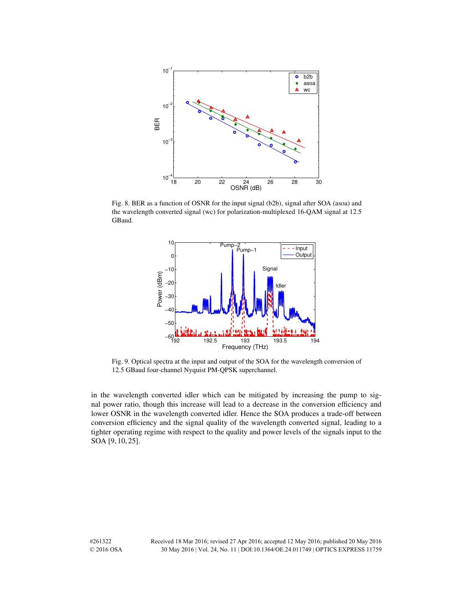

Fig. 8. BER as a function of OSNR for the input signal (b2b), signal after SOA (asoa) and the wavelength converted signal (wc) for polarization-multiplexed 16-QAM signal at 12.5 GBaud.



Fig. 9. Optical spectra at the input and output of the SOA for the wavelength conversion of 12.5 GBaud four-channel Nyquist PM-QPSK superchannel.

in the wavelength converted idler which can be mitigated by increasing the pump to signal power ratio, though this increase will lead to a decrease in the conversion efficiency and lower OSNR in the wavelength converted idler. Hence the SOA produces a trade-off between conversion efficiency and the signal quality of the wavelength converted signal, leading to a tighter operating regime with respect to the quality and power levels of the signals input to the SOA [9, 10, 25].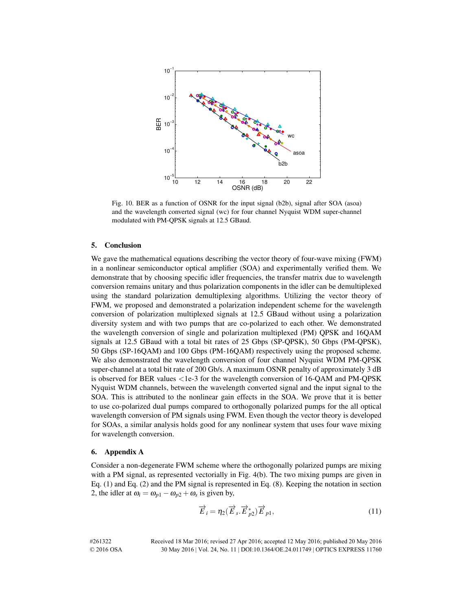

Fig. 10. BER as a function of OSNR for the input signal (b2b), signal after SOA (asoa) and the wavelength converted signal (wc) for four channel Nyquist WDM super-channel modulated with PM-QPSK signals at 12.5 GBaud.

## **5. Conclusion**

We gave the mathematical equations describing the vector theory of four-wave mixing (FWM) in a nonlinear semiconductor optical amplifier (SOA) and experimentally verified them. We demonstrate that by choosing specific idler frequencies, the transfer matrix due to wavelength conversion remains unitary and thus polarization components in the idler can be demultiplexed using the standard polarization demultiplexing algorithms. Utilizing the vector theory of FWM, we proposed and demonstrated a polarization independent scheme for the wavelength conversion of polarization multiplexed signals at 12.5 GBaud without using a polarization diversity system and with two pumps that are co-polarized to each other. We demonstrated the wavelength conversion of single and polarization multiplexed (PM) QPSK and 16QAM signals at 12.5 GBaud with a total bit rates of 25 Gbps (SP-QPSK), 50 Gbps (PM-QPSK), 50 Gbps (SP-16QAM) and 100 Gbps (PM-16QAM) respectively using the proposed scheme. We also demonstrated the wavelength conversion of four channel Nyquist WDM PM-QPSK super-channel at a total bit rate of 200 Gb/s. A maximum OSNR penalty of approximately 3 dB is observed for BER values  $\lt$ 1e-3 for the wavelength conversion of 16-QAM and PM-QPSK Nyquist WDM channels, between the wavelength converted signal and the input signal to the SOA. This is attributed to the nonlinear gain effects in the SOA. We prove that it is better to use co-polarized dual pumps compared to orthogonally polarized pumps for the all optical wavelength conversion of PM signals using FWM. Even though the vector theory is developed for SOAs, a similar analysis holds good for any nonlinear system that uses four wave mixing for wavelength conversion.

## **6. Appendix A**

Consider a non-degenerate FWM scheme where the orthogonally polarized pumps are mixing with a PM signal, as represented vectorially in Fig. 4(b). The two mixing pumps are given in Eq. (1) and Eq. (2) and the PM signal is represented in Eq. (8). Keeping the notation in section 2, the idler at  $\omega_i = \omega_{p1} - \omega_{p2} + \omega_s$  is given by,

$$
\overrightarrow{E}_i = \eta_2(\overrightarrow{E}_s \cdot \overrightarrow{E}_{p2}^*) \overrightarrow{E}_{p1},
$$
\n(11)